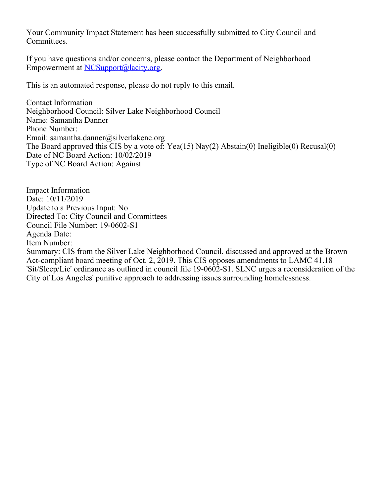Your Community Impact Statement has been successfully submitted to City Council and Committees.

If you have questions and/or concerns, please contact the Department of Neighborhood Empowerment at [NCSupport@lacity.org](mailto:NCSupport@lacity.org).

This is an automated response, please do not reply to this email.

Contact Information Neighborhood Council: Silver Lake Neighborhood Council Name: Samantha Danner Phone Number: Email: samantha.danner@silverlakenc.org The Board approved this CIS by a vote of: Yea(15) Nay(2) Abstain(0) Ineligible(0) Recusal(0) Date of NC Board Action: 10/02/2019 Type of NC Board Action: Against

Impact Information Date: 10/11/2019 Update to a Previous Input: No Directed To: City Council and Committees Council File Number: 19-0602-S1 Agenda Date: Item Number: Summary: CIS from the Silver Lake Neighborhood Council, discussed and approved at the Brown Act-compliant board meeting of Oct. 2, 2019. This CIS opposes amendments to LAMC 41.18 'Sit/Sleep/Lie' ordinance as outlined in council file 19-0602-S1. SLNC urges a reconsideration of the City of Los Angeles' punitive approach to addressing issues surrounding homelessness.